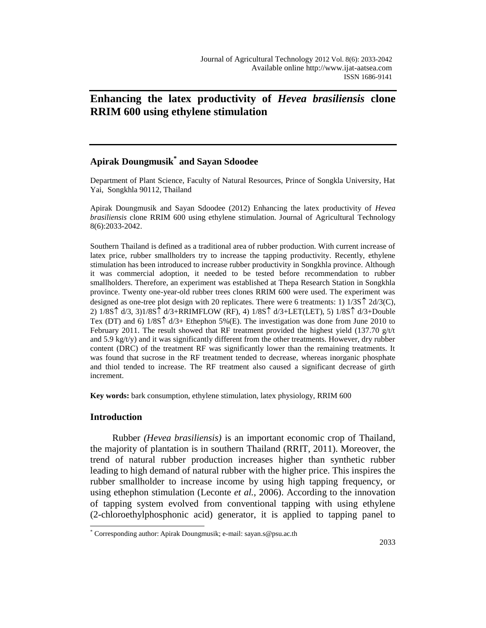# **Enhancing the latex productivity of** *Hevea brasiliensis* **clone RRIM 600 using ethylene stimulation**

# **Apirak Doungmusik\* and Sayan Sdoodee**

Department of Plant Science, Faculty of Natural Resources, Prince of Songkla University, Hat Yai, Songkhla 90112, Thailand

Apirak Doungmusik and Sayan Sdoodee (2012) Enhancing the latex productivity of *Hevea brasiliensis* clone RRIM 600 using ethylene stimulation. Journal of Agricultural Technology 8(6):2033-2042.

Southern Thailand is defined as a traditional area of rubber production. With current increase of latex price, rubber smallholders try to increase the tapping productivity. Recently, ethylene stimulation has been introduced to increase rubber productivity in Songkhla province. Although it was commercial adoption, it needed to be tested before recommendation to rubber smallholders. Therefore, an experiment was established at Thepa Research Station in Songkhla province. Twenty one-year-old rubber trees clones RRIM 600 were used. The experiment was designed as one-tree plot design with 20 replicates. There were 6 treatments: 1)  $1/3S\hat{T}$   $2d/3(C)$ , 2)  $1/8S \uparrow d/3$ ,  $3)1/8S \uparrow d/3+RRIMFLOW (RF), 4) 1/8S \uparrow d/3+LET(LET), 5) 1/8S \uparrow d/3+Double$ Tex (DT) and 6)  $1/8S\hat{T}$  d/3+ Ethephon 5%(E). The investigation was done from June 2010 to February 2011. The result showed that RF treatment provided the highest yield (137.70  $g/t/t$ and  $5.9 \text{ kg/tv}$ ) and it was significantly different from the other treatments. However, dry rubber content (DRC) of the treatment RF was significantly lower than the remaining treatments. It was found that sucrose in the RF treatment tended to decrease, whereas inorganic phosphate and thiol tended to increase. The RF treatment also caused a significant decrease of girth increment.

**Key words:** bark consumption, ethylene stimulation, latex physiology, RRIM 600

### **Introduction**

 $\overline{a}$ 

Rubber *(Hevea brasiliensis)* is an important economic crop of Thailand, the majority of plantation is in southern Thailand (RRIT, 2011). Moreover, the trend of natural rubber production increases higher than synthetic rubber leading to high demand of natural rubber with the higher price. This inspires the rubber smallholder to increase income by using high tapping frequency, or using ethephon stimulation (Leconte *et al.*, 2006). According to the innovation of tapping system evolved from conventional tapping with using ethylene (2-chloroethylphosphonic acid) generator, it is applied to tapping panel to

<sup>\*</sup> Corresponding author: Apirak Doungmusik; e-mail: sayan.s@psu.ac.th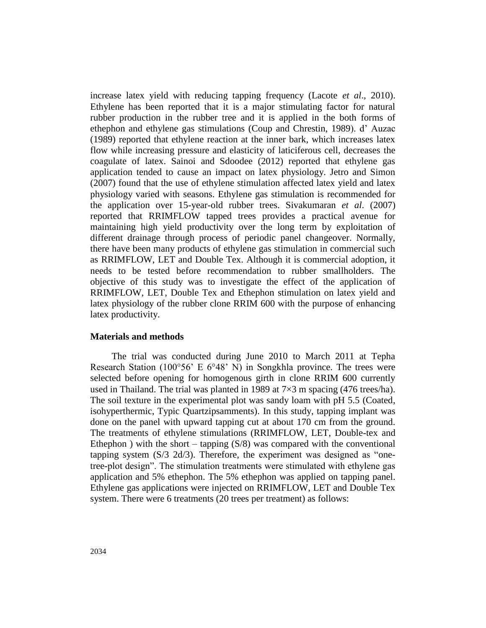increase latex yield with reducing tapping frequency (Lacote *et al*., 2010). Ethylene has been reported that it is a major stimulating factor for natural rubber production in the rubber tree and it is applied in the both forms of ethephon and ethylene gas stimulations (Coup and Chrestin, 1989). d" Auzac (1989) reported that ethylene reaction at the inner bark, which increases latex flow while increasing pressure and elasticity of laticiferous cell, decreases the coagulate of latex. Sainoi and Sdoodee (2012) reported that ethylene gas application tended to cause an impact on latex physiology. Jetro and Simon (2007) found that the use of ethylene stimulation affected latex yield and latex physiology varied with seasons. Ethylene gas stimulation is recommended for the application over 15-year-old rubber trees. Sivakumaran *et al*. (2007) reported that RRIMFLOW tapped trees provides a practical avenue for maintaining high yield productivity over the long term by exploitation of different drainage through process of periodic panel changeover. Normally, there have been many products of ethylene gas stimulation in commercial such as RRIMFLOW, LET and Double Tex. Although it is commercial adoption, it needs to be tested before recommendation to rubber smallholders. The objective of this study was to investigate the effect of the application of RRIMFLOW, LET, Double Tex and Ethephon stimulation on latex yield and latex physiology of the rubber clone RRIM 600 with the purpose of enhancing latex productivity.

#### **Materials and methods**

The trial was conducted during June 2010 to March 2011 at Tepha Research Station (100°56' E 6°48' N) in Songkhla province. The trees were selected before opening for homogenous girth in clone RRIM 600 currently used in Thailand. The trial was planted in 1989 at  $7\times3$  m spacing (476 trees/ha). The soil texture in the experimental plot was sandy loam with pH 5.5 (Coated, isohyperthermic, Typic Quartzipsamments). In this study, tapping implant was done on the panel with upward tapping cut at about 170 cm from the ground. The treatments of ethylene stimulations (RRIMFLOW, LET, Double-tex and Ethephon ) with the short – tapping  $(S/8)$  was compared with the conventional tapping system (S/3 2d/3). Therefore, the experiment was designed as "onetree-plot design". The stimulation treatments were stimulated with ethylene gas application and 5% ethephon. The 5% ethephon was applied on tapping panel. Ethylene gas applications were injected on RRIMFLOW, LET and Double Tex system. There were 6 treatments (20 trees per treatment) as follows: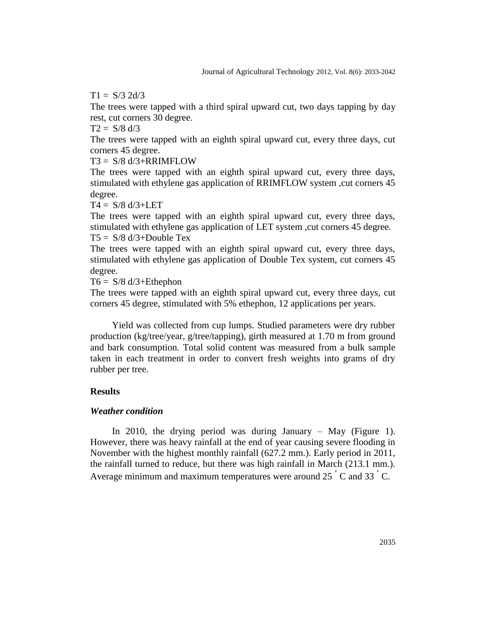$T1 = S/3$  2d/3

The trees were tapped with a third spiral upward cut, two days tapping by day rest, cut corners 30 degree.

 $T2 = S/8 d/3$ 

The trees were tapped with an eighth spiral upward cut, every three days, cut corners 45 degree.

 $T3 = S/8 d/3 + RRIMFLOW$ 

The trees were tapped with an eighth spiral upward cut, every three days, stimulated with ethylene gas application of RRIMFLOW system ,cut corners 45 degree.

 $T4 = S/8 d/3 + LET$ 

The trees were tapped with an eighth spiral upward cut, every three days, stimulated with ethylene gas application of LET system , cut corners 45 degree.

 $T5 = S/8 d/3 + Double Tex$ 

The trees were tapped with an eighth spiral upward cut, every three days, stimulated with ethylene gas application of Double Tex system, cut corners 45 degree.

 $T6 = S/8 d/3 + Ethephon$ 

The trees were tapped with an eighth spiral upward cut, every three days, cut corners 45 degree, stimulated with 5% ethephon, 12 applications per years.

Yield was collected from cup lumps. Studied parameters were dry rubber production (kg/tree/year, g/tree/tapping), girth measured at 1.70 m from ground and bark consumption. Total solid content was measured from a bulk sample taken in each treatment in order to convert fresh weights into grams of dry rubber per tree.

## **Results**

#### *Weather condition*

In 2010, the drying period was during January – May (Figure 1). However, there was heavy rainfall at the end of year causing severe flooding in November with the highest monthly rainfall (627.2 mm.). Early period in 2011, the rainfall turned to reduce, but there was high rainfall in March (213.1 mm.). Average minimum and maximum temperatures were around 25 °C and 33 °C.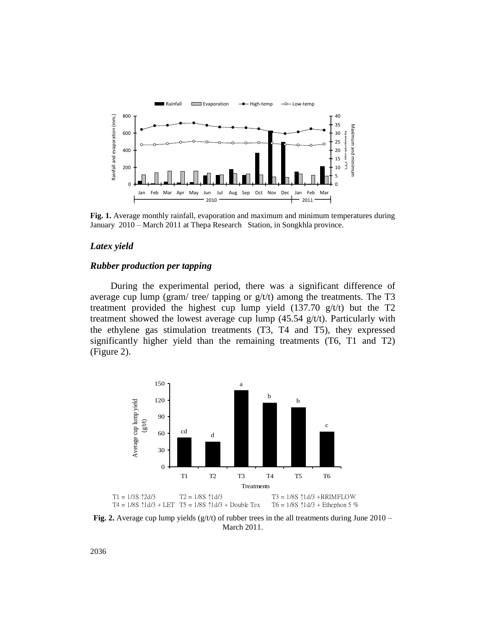

**Fig. 1.** Average monthly rainfall, evaporation and maximum and minimum temperatures during January 2010 – March 2011 at Thepa Research Station, in Songkhla province.

#### *Latex yield*

#### *Rubber production per tapping*

During the experimental period, there was a significant difference of average cup lump (gram/ tree/ tapping or  $g/t/t$ ) among the treatments. The T3 treatment provided the highest cup lump yield  $(137.70 \text{ g/t/t})$  but the T2 treatment showed the lowest average cup lump  $(45.54 \text{ g/t/t})$ . Particularly with the ethylene gas stimulation treatments (T3, T4 and T5), they expressed significantly higher yield than the remaining treatments (T6, T1 and T2) (Figure 2).



Fig. 2. Average cup lump yields (g/t/t) of rubber trees in the all treatments during June 2010 – March 2011.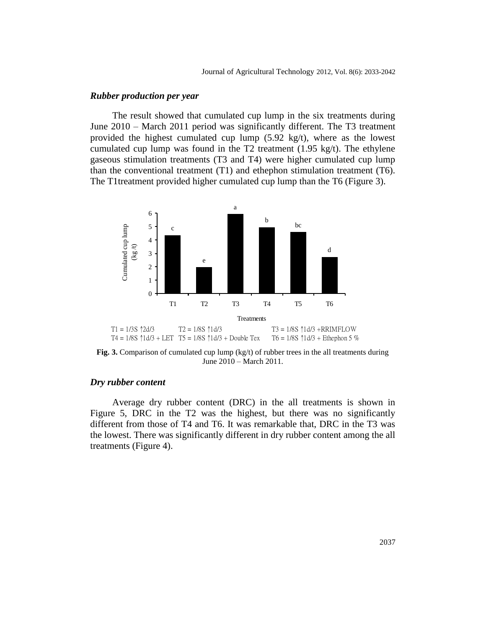#### *Rubber production per year*

The result showed that cumulated cup lump in the six treatments during June 2010 – March 2011 period was significantly different. The T3 treatment provided the highest cumulated cup lump  $(5.92 \text{ kg/t})$ , where as the lowest cumulated cup lump was found in the T2 treatment (1.95 kg/t). The ethylene gaseous stimulation treatments (T3 and T4) were higher cumulated cup lump than the conventional treatment (T1) and ethephon stimulation treatment (T6). The T1treatment provided higher cumulated cup lump than the T6 (Figure 3).



**Fig. 3.** Comparison of cumulated cup lump (kg/t) of rubber trees in the all treatments during June 2010 – March 2011.

### *Dry rubber content*

Average dry rubber content (DRC) in the all treatments is shown in Figure 5, DRC in the T2 was the highest, but there was no significantly different from those of T4 and T6. It was remarkable that, DRC in the T3 was the lowest. There was significantly different in dry rubber content among the all treatments (Figure 4).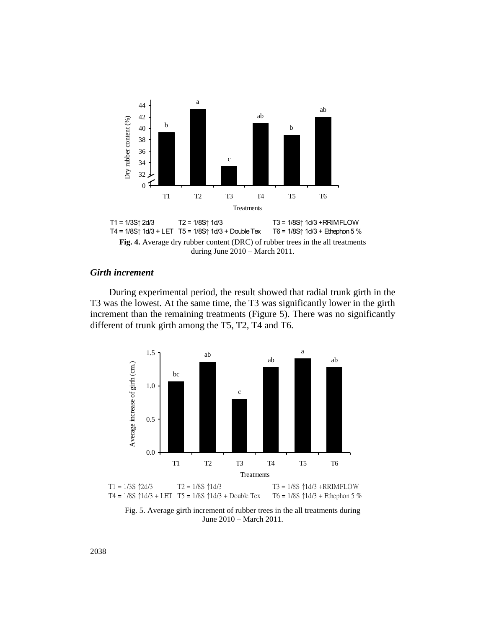

#### during June 2010 – March 2011.

# *Girth increment*

During experimental period, the result showed that radial trunk girth in the T3 was the lowest. At the same time, the T3 was significantly lower in the girth increment than the remaining treatments (Figure 5). There was no significantly different of trunk girth among the T5, T2, T4 and T6.



June 2010 – March 2011.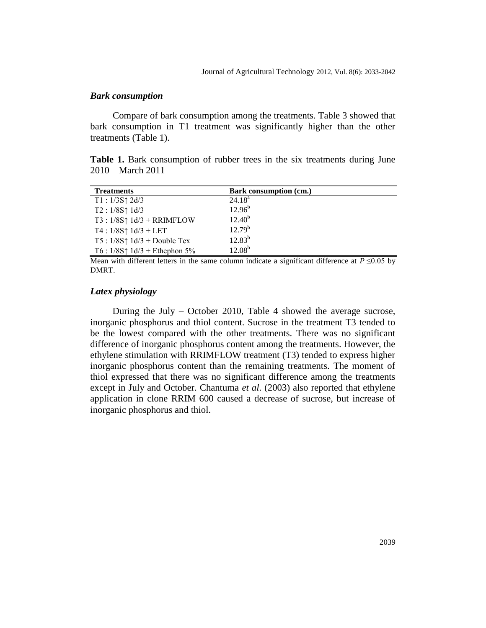#### *Bark consumption*

Compare of bark consumption among the treatments. Table 3 showed that bark consumption in T1 treatment was significantly higher than the other treatments (Table 1).

**Table 1.** Bark consumption of rubber trees in the six treatments during June 2010 – March 2011

| <b>Treatments</b>                       | Bark consumption (cm.) |
|-----------------------------------------|------------------------|
| $T1: 1/3S \uparrow 2d/3$                | $24.18^a$              |
| $T2: 1/8S \uparrow 1d/3$                | $12.96^{b}$            |
| $T3:1/8S\uparrow 1d/3 + RRIMFLOW$       | $12.40^{b}$            |
| $T4:1/8S \uparrow 1d/3 + LET$           | $12.79^{b}$            |
| $T5: 1/8S \uparrow 1d/3 + Double Tex$   | $12.83^{b}$            |
| T6 : $1/8S \uparrow 1d/3$ + Ethephon 5% | $12.08^{b}$            |

Mean with different letters in the same column indicate a significant difference at  $P \le 0.05$  by DMRT.

#### *Latex physiology*

During the July – October 2010, Table 4 showed the average sucrose, inorganic phosphorus and thiol content. Sucrose in the treatment T3 tended to be the lowest compared with the other treatments. There was no significant difference of inorganic phosphorus content among the treatments. However, the ethylene stimulation with RRIMFLOW treatment (T3) tended to express higher inorganic phosphorus content than the remaining treatments. The moment of thiol expressed that there was no significant difference among the treatments except in July and October. Chantuma *et al*. (2003) also reported that ethylene application in clone RRIM 600 caused a decrease of sucrose, but increase of inorganic phosphorus and thiol.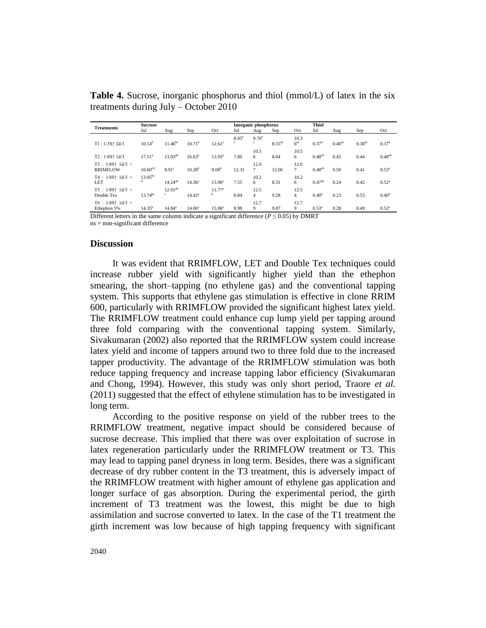**Table 4.** Sucrose, inorganic phosphorus and thiol (mmol/L) of latex in the six treatments during July – October 2010

| <b>Treatments</b>                              | <b>Sucrose</b>      |                             |                    |                         |               | Inorganic phosphorus |             |                         |                   | <b>Thiol</b>       |                    |                   |  |
|------------------------------------------------|---------------------|-----------------------------|--------------------|-------------------------|---------------|----------------------|-------------|-------------------------|-------------------|--------------------|--------------------|-------------------|--|
|                                                | Jul                 | Aug                         | Sep                | Oct                     | Jul           | Aug                  | Sep         | Oct                     | Jul               | Aug                | Sep                | Oct               |  |
| $T1:1/3S \uparrow 2d/3$                        | 10.14 <sup>d</sup>  | 11.46 <sup>bc</sup>         | 10.71 <sup>b</sup> | $12.61^a$               | $8.95^n$<br>s | $9.76^n$<br>s.       | $8.55^{ns}$ | 10.3<br>6 <sup>ns</sup> | 0.37 <sup>b</sup> | 0.40 <sup>ns</sup> | 0.38 <sup>ns</sup> | 0.37 <sup>b</sup> |  |
| $T2:1/8S \uparrow 1 d/3$                       | 17.51 <sup>a</sup>  | $13.03^{ab}$                | 16.63 <sup>a</sup> | $13.93^{a}$             | 7.80          | 10.5<br>6            | 8.04        | 10.5<br>6               | $0.48^{ab}$       | 0.45               | 0.44               | $0.48^{ab}$       |  |
| $T3 : 1/8S \uparrow 1d/3 +$<br><b>RRIMFLOW</b> | 10.60 <sup>cd</sup> | 8.91 <sup>c</sup>           | 10.28 <sup>b</sup> | 9.00 <sup>b</sup>       | 12.31         | 12.0<br>$\tau$       | 12.06       | 12.0<br>$7^{\circ}$     | $0.48^{ab}$       | 0.50               | 0.41               | $0.53^{\rm a}$    |  |
| $T4 : 1/8S \uparrow 1d/3 +$<br><b>LET</b>      | $13.05^{bc}$        | $14.24^{ab}$                | $14.36^{a}$        | $13.96^a$               | 7.55          | 10.2<br>6            | 8.31        | 10.2<br>6               | $0.47^{ab}$       | 0.24               | 0.42               | $0.52^{\circ}$    |  |
| $T5 : 1/8S \uparrow 1d/3 +$<br>Double Tex      | $13.74^{bc}$        | $12.01^{ab}$<br>$\mathbf c$ | $14.42^a$          | 11.77 <sup>a</sup><br>b | 8.84          | 12.5<br>4            | 9.28        | 12.5<br>$\overline{4}$  | 0.40 <sup>b</sup> | 0.23               | 0.53               | 0.40 <sup>b</sup> |  |
| $T6$ : 1/8S $\uparrow$ 1d/3 +<br>Ethephon 5%   | $14.35^{b}$         | $14.84^a$                   | $14.06^{\circ}$    | $15.06^{\circ}$         | 8.98          | 12.7<br>9            | 9.87        | 12.7<br>9               | $0.53^{\rm a}$    | 0.28               | 0.49               | $0.52^{\circ}$    |  |

Different letters in the same column indicate a significant difference ( $P \le 0.05$ ) by DMRT

ns = non-significant difference

#### **Discussion**

It was evident that RRIMFLOW, LET and Double Tex techniques could increase rubber yield with significantly higher yield than the ethephon smearing, the short–tapping (no ethylene gas) and the conventional tapping system. This supports that ethylene gas stimulation is effective in clone RRIM 600, particularly with RRIMFLOW provided the significant highest latex yield. The RRIMFLOW treatment could enhance cup lump yield per tapping around three fold comparing with the conventional tapping system. Similarly, Sivakumaran (2002) also reported that the RRIMFLOW system could increase latex yield and income of tappers around two to three fold due to the increased tapper productivity. The advantage of the RRIMFLOW stimulation was both reduce tapping frequency and increase tapping labor efficiency (Sivakumaran and Chong, 1994). However, this study was only short period, Traore *et al.* (2011) suggested that the effect of ethylene stimulation has to be investigated in long term.

According to the positive response on yield of the rubber trees to the RRIMFLOW treatment, negative impact should be considered because of sucrose decrease. This implied that there was over exploitation of sucrose in latex regeneration particularly under the RRIMFLOW treatment or T3. This may lead to tapping panel dryness in long term. Besides, there was a significant decrease of dry rubber content in the T3 treatment, this is adversely impact of the RRIMFLOW treatment with higher amount of ethylene gas application and longer surface of gas absorption. During the experimental period, the girth increment of T3 treatment was the lowest, this might be due to high assimilation and sucrose converted to latex. In the case of the T1 treatment the girth increment was low because of high tapping frequency with significant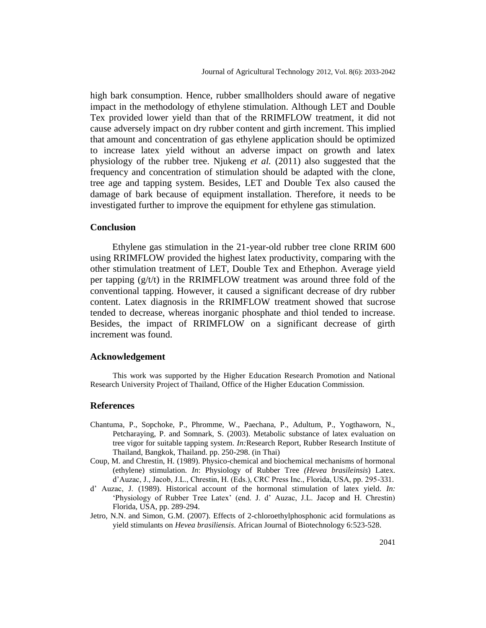high bark consumption. Hence, rubber smallholders should aware of negative impact in the methodology of ethylene stimulation. Although LET and Double Tex provided lower yield than that of the RRIMFLOW treatment, it did not cause adversely impact on dry rubber content and girth increment. This implied that amount and concentration of gas ethylene application should be optimized to increase latex yield without an adverse impact on growth and latex physiology of the rubber tree. Njukeng *et al.* (2011) also suggested that the frequency and concentration of stimulation should be adapted with the clone, tree age and tapping system. Besides, LET and Double Tex also caused the damage of bark because of equipment installation. Therefore, it needs to be investigated further to improve the equipment for ethylene gas stimulation.

#### **Conclusion**

Ethylene gas stimulation in the 21-year-old rubber tree clone RRIM 600 using RRIMFLOW provided the highest latex productivity, comparing with the other stimulation treatment of LET, Double Tex and Ethephon. Average yield per tapping  $(g/t)t$  in the RRIMFLOW treatment was around three fold of the conventional tapping. However, it caused a significant decrease of dry rubber content. Latex diagnosis in the RRIMFLOW treatment showed that sucrose tended to decrease, whereas inorganic phosphate and thiol tended to increase. Besides, the impact of RRIMFLOW on a significant decrease of girth increment was found.

#### **Acknowledgement**

This work was supported by the Higher Education Research Promotion and National Research University Project of Thailand, Office of the Higher Education Commission.

#### **References**

- Chantuma, P., Sopchoke, P., Phromme, W., Paechana, P., Adultum, P., Yogthaworn, N., Petcharaying, P. and Somnark, S. (2003). Metabolic substance of latex evaluation on tree vigor for suitable tapping system. *In:*Research Report, Rubber Research Institute of Thailand, Bangkok, Thailand. pp. 250-298. (in Thai)
- Coup, M. and Chrestin, H. (1989). Physico-chemical and biochemical mechanisms of hormonal (ethylene) stimulation. *In*: Physiology of Rubber Tree *(Hevea brasileinsis*) Latex. d"Auzac, J., Jacob, J.L., Chrestin, H. (Eds.), CRC Press Inc., Florida, USA, pp. 295-331.
- d" Auzac, J. (1989). Historical account of the hormonal stimulation of latex yield. *In:* "Physiology of Rubber Tree Latex" (end. J. d" Auzac, J.L. Jacop and H. Chrestin) Florida, USA, pp. 289-294.
- Jetro, N.N. and Simon, G.M. (2007). Effects of 2-chloroethylphosphonic acid formulations as yield stimulants on *Hevea brasiliensis*. African Journal of Biotechnology 6:523-528.